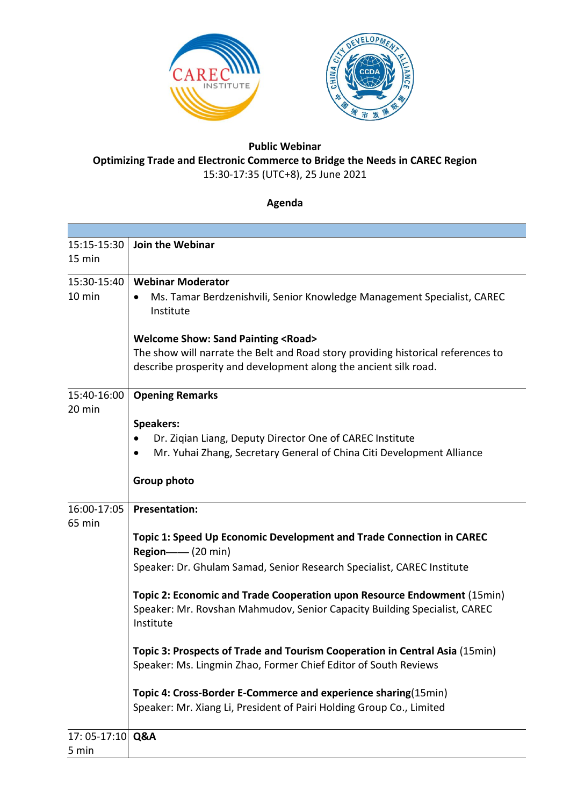

## **Public Webinar Optimizing Trade and Electronic Commerce to Bridge the Needs in CAREC Region** 15:30-17:35 (UTC+8), 25 June 2021

## **Agenda**

| 15:15-15:30      | Join the Webinar                                                                                                                                                  |
|------------------|-------------------------------------------------------------------------------------------------------------------------------------------------------------------|
| 15 min           |                                                                                                                                                                   |
| 15:30-15:40      | <b>Webinar Moderator</b>                                                                                                                                          |
| 10 min           | Ms. Tamar Berdzenishvili, Senior Knowledge Management Specialist, CAREC<br>Institute                                                                              |
|                  | <b>Welcome Show: Sand Painting <road></road></b>                                                                                                                  |
|                  | The show will narrate the Belt and Road story providing historical references to                                                                                  |
|                  | describe prosperity and development along the ancient silk road.                                                                                                  |
| 15:40-16:00      | <b>Opening Remarks</b>                                                                                                                                            |
| 20 min           |                                                                                                                                                                   |
|                  | <b>Speakers:</b>                                                                                                                                                  |
|                  | Dr. Ziqian Liang, Deputy Director One of CAREC Institute<br>$\bullet$<br>$\bullet$                                                                                |
|                  | Mr. Yuhai Zhang, Secretary General of China Citi Development Alliance                                                                                             |
|                  | Group photo                                                                                                                                                       |
| 16:00-17:05      | <b>Presentation:</b>                                                                                                                                              |
| 65 min           |                                                                                                                                                                   |
|                  | Topic 1: Speed Up Economic Development and Trade Connection in CAREC<br><b>Region-4</b> (20 min)                                                                  |
|                  | Speaker: Dr. Ghulam Samad, Senior Research Specialist, CAREC Institute                                                                                            |
|                  | Topic 2: Economic and Trade Cooperation upon Resource Endowment (15min)<br>Speaker: Mr. Rovshan Mahmudov, Senior Capacity Building Specialist, CAREC<br>Institute |
|                  | Topic 3: Prospects of Trade and Tourism Cooperation in Central Asia (15min)                                                                                       |
|                  | Speaker: Ms. Lingmin Zhao, Former Chief Editor of South Reviews                                                                                                   |
|                  | Topic 4: Cross-Border E-Commerce and experience sharing(15min)                                                                                                    |
|                  | Speaker: Mr. Xiang Li, President of Pairi Holding Group Co., Limited                                                                                              |
| 17: 05-17:10 Q&A |                                                                                                                                                                   |
| 5 min            |                                                                                                                                                                   |